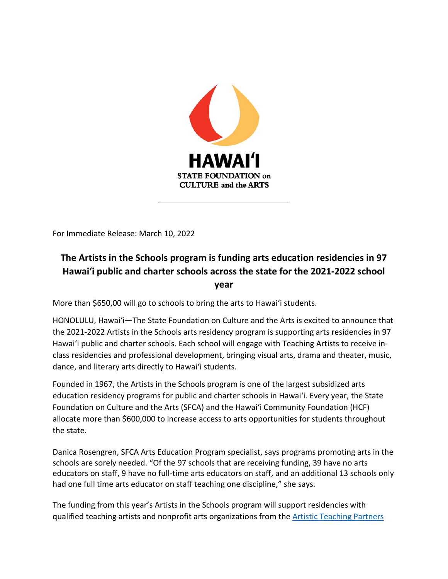

For Immediate Release: March 10, 2022

# **The Artists in the Schools program is funding arts education residencies in 97 Hawai'i public and charter schools across the state for the 2021-2022 school year**

More than \$650,00 will go to schools to bring the arts to Hawaiʻi students.

HONOLULU, Hawai'i—The State Foundation on Culture and the Arts is excited to announce that the 2021-2022 Artists in the Schools arts residency program is supporting arts residencies in 97 Hawai'i public and charter schools. Each school will engage with Teaching Artists to receive inclass residencies and professional development, bringing visual arts, drama and theater, music, dance, and literary arts directly to Hawaiʻi students.

Founded in 1967, the Artists in the Schools program is one of the largest subsidized arts education residency programs for public and charter schools in Hawaiʻi. Every year, the State Foundation on Culture and the Arts (SFCA) and the Hawaiʻi Community Foundation (HCF) allocate more than \$600,000 to increase access to arts opportunities for students throughout the state.

Danica Rosengren, SFCA Arts Education Program specialist, says programs promoting arts in the schools are sorely needed. "Of the 97 schools that are receiving funding, 39 have no arts educators on staff, 9 have no full-time arts educators on staff, and an additional 13 schools only had one full time arts educator on staff teaching one discipline," she says.

The funding from this year's Artists in the Schools program will support residencies with qualified teaching artists and nonprofit arts organizations from th[e Artistic Teaching Partners](https://sfca.hawaii.gov/arts-education-programs/artists-in-the-schools/artistic-teaching-partners-roster/)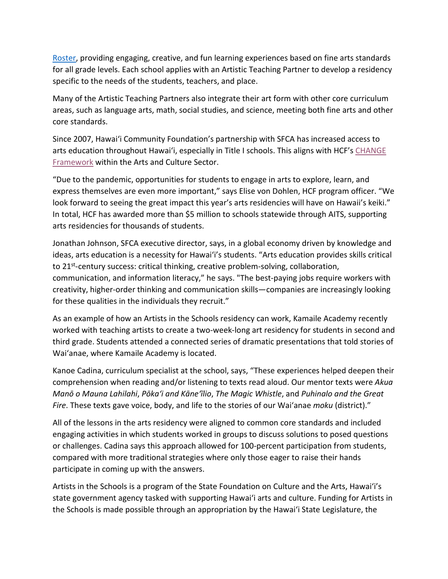[Roster,](https://sfca.hawaii.gov/arts-education-programs/artists-in-the-schools/artistic-teaching-partners-roster/) providing engaging, creative, and fun learning experiences based on fine arts standards for all grade levels. Each school applies with an Artistic Teaching Partner to develop a residency specific to the needs of the students, teachers, and place.

Many of the Artistic Teaching Partners also integrate their art form with other core curriculum areas, such as language arts, math, social studies, and science, meeting both fine arts and other core standards.

Since 2007, Hawai'i Community Foundation's partnership with SFCA has increased access to arts education throughout Hawai'i, especially in Title I schools. This aligns with HCF's CHANGE [Framework](https://www.hawaiicommunityfoundation.org/change) within the Arts and Culture Sector.

"Due to the pandemic, opportunities for students to engage in arts to explore, learn, and express themselves are even more important," says Elise von Dohlen, HCF program officer. "We look forward to seeing the great impact this year's arts residencies will have on Hawaii's keiki." In total, HCF has awarded more than \$5 million to schools statewide through AITS, supporting arts residencies for thousands of students.

Jonathan Johnson, SFCA executive director, says, in a global economy driven by knowledge and ideas, arts education is a necessity for Hawaiʻi's students. "Arts education provides skills critical to 21st-century success: critical thinking, creative problem-solving, collaboration, communication, and information literacy," he says. "The best-paying jobs require workers with creativity, higher-order thinking and communication skills—companies are increasingly looking for these qualities in the individuals they recruit."

As an example of how an Artists in the Schools residency can work, Kamaile Academy recently worked with teaching artists to create a two-week-long art residency for students in second and third grade. Students attended a connected series of dramatic presentations that told stories of Waiʻanae, where Kamaile Academy is located.

Kanoe Cadina, curriculum specialist at the school, says, "These experiences helped deepen their comprehension when reading and/or listening to texts read aloud. Our mentor texts were *Akua Manō o Mauna Lahilahi*, *Pōkaʻi and Kāneʻīlio*, *The Magic Whistle*, and *Puhinalo and the Great Fire*. These texts gave voice, body, and life to the stories of our Waiʻanae *moku* (district)."

All of the lessons in the arts residency were aligned to common core standards and included engaging activities in which students worked in groups to discuss solutions to posed questions or challenges. Cadina says this approach allowed for 100-percent participation from students, compared with more traditional strategies where only those eager to raise their hands participate in coming up with the answers.

Artists in the Schools is a program of the State Foundation on Culture and the Arts, Hawaiʻi's state government agency tasked with supporting Hawaiʻi arts and culture. Funding for Artists in the Schools is made possible through an appropriation by the Hawaiʻi State Legislature, the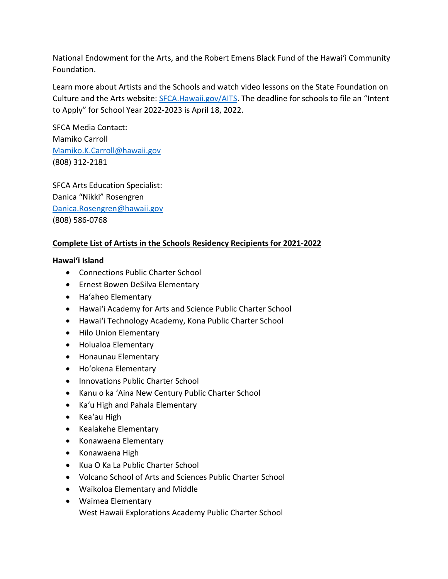National Endowment for the Arts, and the Robert Emens Black Fund of the Hawaiʻi Community Foundation.

Learn more about Artists and the Schools and watch video lessons on the State Foundation on Culture and the Arts website: [SFCA.Hawaii.gov/AITS.](https://sfca.hawaii.gov/arts-education-programs/artists-in-the-schools/) The deadline for schools to file an "Intent to Apply" for School Year 2022-2023 is April 18, 2022.

SFCA Media Contact: Mamiko Carroll [Mamiko.K.Carroll@hawaii.gov](mailto:Mamiko.K.Carroll@hawaii.gov) (808) 312-2181

SFCA Arts Education Specialist: Danica "Nikki" Rosengren [Danica.Rosengren@hawaii.gov](mailto:Danica.Rosengren@hawaii.gov) (808) 586-0768

# **Complete List of Artists in the Schools Residency Recipients for 2021-2022**

## **Hawaiʻi Island**

- Connections Public Charter School
- Ernest Bowen DeSilva Elementary
- Haʻaheo Elementary
- Hawaiʻi Academy for Arts and Science Public Charter School
- Hawaiʻi Technology Academy, Kona Public Charter School
- Hilo Union Elementary
- Holualoa Elementary
- Honaunau Elementary
- Hoʻokena Elementary
- Innovations Public Charter School
- Kanu o ka ʻAina New Century Public Charter School
- Kaʻu High and Pahala Elementary
- Keaʻau High
- Kealakehe Elementary
- Konawaena Elementary
- Konawaena High
- Kua O Ka La Public Charter School
- Volcano School of Arts and Sciences Public Charter School
- Waikoloa Elementary and Middle
- Waimea Elementary West Hawaii Explorations Academy Public Charter School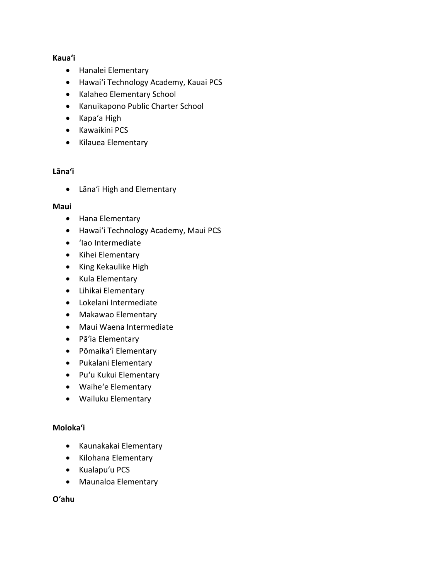## **Kauaʻi**

- Hanalei Elementary
- Hawaiʻi Technology Academy, Kauai PCS
- Kalaheo Elementary School
- Kanuikapono Public Charter School
- Kapaʻa High
- Kawaikini PCS
- Kilauea Elementary

## **[Lānaʻi](https://sfca.hawaii.gov/arts-education-programs/artists-in-the-schools/)**

• Lānaʻi High and Elementary

#### **Maui**

- Hana Elementary
- Hawaiʻi Technology Academy, Maui PCS
- ʻIao Intermediate
- Kihei Elementary
- King Kekaulike High
- Kula Elementary
- Lihikai Elementary
- Lokelani Intermediate
- Makawao Elementary
- Maui Waena Intermediate
- Pāʻia Elementary
- Pōmaika'i Elementary
- Pukalani Elementary
- Puʻu Kukui Elementary
- Waiheʻe Elementary
- Wailuku Elementary

#### **[Molokaʻi](https://sfca.hawaii.gov/arts-education-programs/artists-in-the-schools/)**

- Kaunakakai Elementary
- Kilohana Elementary
- Kualapuʻu PCS
- Maunaloa Elementary

**Oʻahu**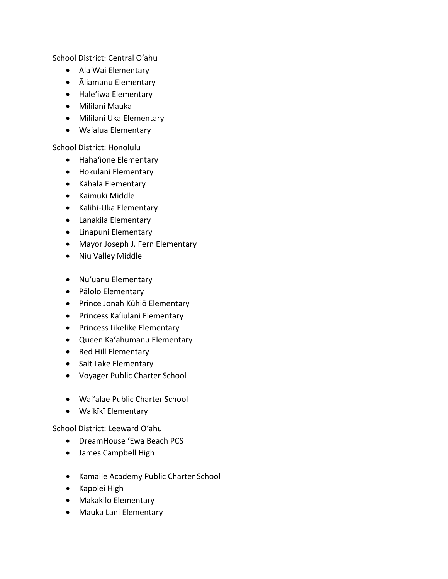School District: Central Oʻahu

- Ala Wai Elementary
- Āliamanu Elementary
- Haleʻiwa Elementary
- Mililani Mauka
- Mililani Uka Elementary
- Waialua Elementary

School District: Honolulu

- Hahaʻione Elementary
- Hokulani Elementary
- Kāhala Elementary
- Kaimukī Middle
- Kalihi-Uka Elementary
- Lanakila Elementary
- Linapuni Elementary
- Mayor Joseph J. Fern Elementary
- Niu Valley Middle
- Nuʻuanu Elementary
- Pālolo Elementary
- Prince Jonah Kūhiō Elementary
- Princess Kaʻiulani Elementary
- Princess Likelike Elementary
- Queen Kaʻahumanu Elementary
- Red Hill Elementary
- Salt Lake Elementary
- Voyager Public Charter School
- Waiʻalae Public Charter School
- Waikīkī Elementary

School District: Leeward Oʻahu

- DreamHouse 'Ewa Beach PCS
- James Campbell High
- Kamaile Academy Public Charter School
- Kapolei High
- Makakilo Elementary
- Mauka Lani Elementary